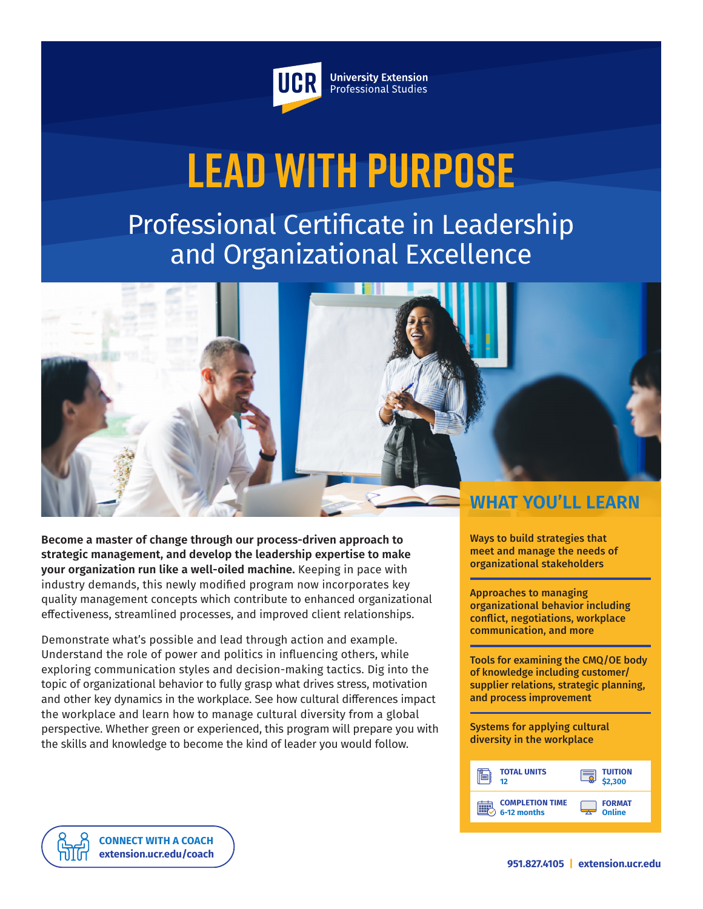

**University Extension** Professional Studies

# **Lead With Purpose**

Professional Certificate in Leadership and Organizational Excellence



**Become a master of change through our process-driven approach to strategic management, and develop the leadership expertise to make your organization run like a well-oiled machine.** Keeping in pace with industry demands, this newly modified program now incorporates key quality management concepts which contribute to enhanced organizational effectiveness, streamlined processes, and improved client relationships.

Demonstrate what's possible and lead through action and example. Understand the role of power and politics in influencing others, while exploring communication styles and decision-making tactics. Dig into the topic of organizational behavior to fully grasp what drives stress, motivation and other key dynamics in the workplace. See how cultural differences impact the workplace and learn how to manage cultural diversity from a global perspective. Whether green or experienced, this program will prepare you with the skills and knowledge to become the kind of leader you would follow.

# **WHAT YOU'LL LEARN**

Ways to build strategies that meet and manage the needs of organizational stakeholders

Approaches to managing organizational behavior including conflict, negotiations, workplace communication, and more

Tools for examining the CMQ/OE body of knowledge including customer/ supplier relations, strategic planning, and process improvement

Systems for applying cultural diversity in the workplace

| <b>TOTAL UNITS</b>     | <b>TUITION</b>     |
|------------------------|--------------------|
| 12                     | $\frac{1}{2}$ ,300 |
| <b>COMPLETION TIME</b> | <b>FORMAT</b>      |
| 6-12 months            | Online             |

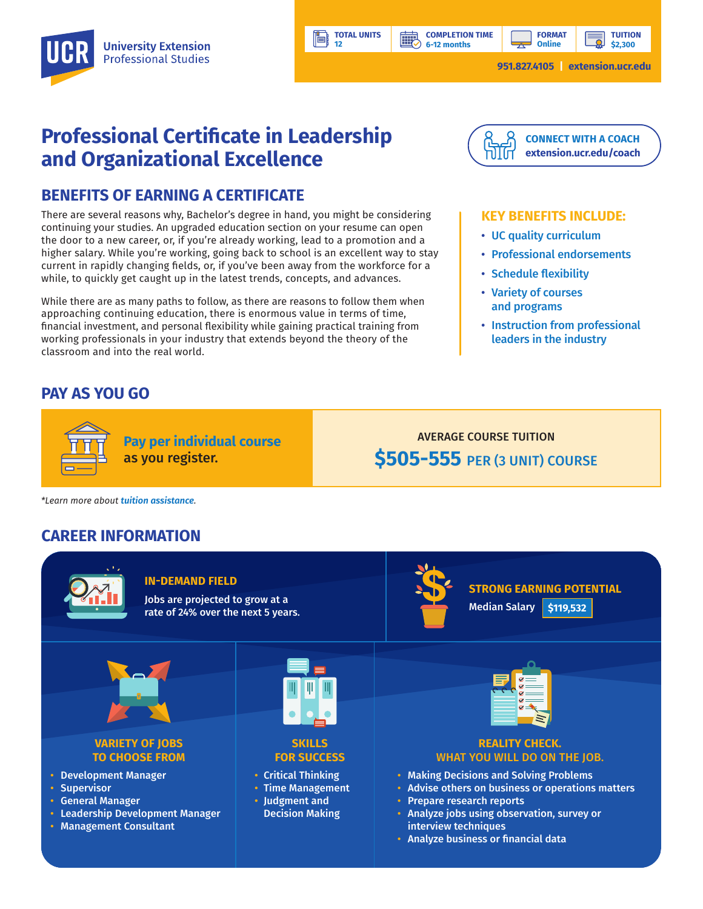# **Professional Certificate in Leadership and Organizational Excellence**

# **BENEFITS OF EARNING A CERTIFICATE**

There are several reasons why, Bachelor's degree in hand, you might be considering continuing your studies. An upgraded education section on your resume can open the door to a new career, or, if you're already working, lead to a promotion and a higher salary. While you're working, going back to school is an excellent way to stay current in rapidly changing fields, or, if you've been away from the workforce for a while, to quickly get caught up in the latest trends, concepts, and advances.

While there are as many paths to follow, as there are reasons to follow them when approaching continuing education, there is enormous value in terms of time, financial investment, and personal flexibility while gaining practical training from working professionals in your industry that extends beyond the theory of the classroom and into the real world.

# **PAY AS YOU GO**



#### **KEY BENEFITS INCLUDE:**

- UC quality curriculum
- Professional endorsements
- Schedule flexibility
- Variety of courses and programs
- Instruction from professional leaders in the industry

as you register.

**Pay per individual course**

AVERAGE COURSE TUITION **\$505-555** PER (3 UNIT) COURSE

*\*Learn more about tuition assistance.*

## **CAREER INFORMATION**



**TOTAL UNITS 12**

**BBP** 

Ħ